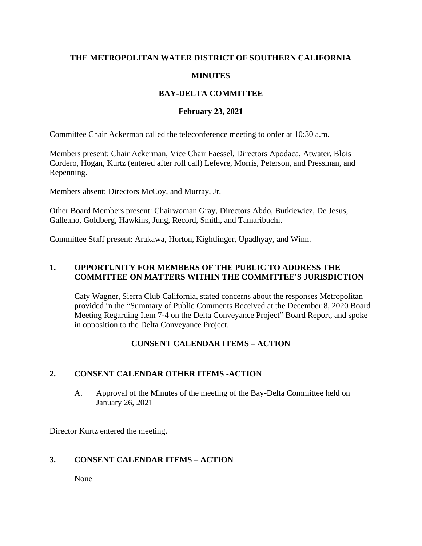### **THE METROPOLITAN WATER DISTRICT OF SOUTHERN CALIFORNIA**

### **MINUTES**

### **BAY-DELTA COMMITTEE**

### **February 23, 2021**

Committee Chair Ackerman called the teleconference meeting to order at 10:30 a.m.

Members present: Chair Ackerman, Vice Chair Faessel, Directors Apodaca, Atwater, Blois Cordero, Hogan, Kurtz (entered after roll call) Lefevre, Morris, Peterson, and Pressman, and Repenning.

Members absent: Directors McCoy, and Murray, Jr.

Other Board Members present: Chairwoman Gray, Directors Abdo, Butkiewicz, De Jesus, Galleano, Goldberg, Hawkins, Jung, Record, Smith, and Tamaribuchi.

Committee Staff present: Arakawa, Horton, Kightlinger, Upadhyay, and Winn.

### **1. OPPORTUNITY FOR MEMBERS OF THE PUBLIC TO ADDRESS THE COMMITTEE ON MATTERS WITHIN THE COMMITTEE'S JURISDICTION**

Caty Wagner, Sierra Club California, stated concerns about the responses Metropolitan provided in the "Summary of Public Comments Received at the December 8, 2020 Board Meeting Regarding Item 7-4 on the Delta Conveyance Project" Board Report, and spoke in opposition to the Delta Conveyance Project.

# **CONSENT CALENDAR ITEMS – ACTION**

# **2. CONSENT CALENDAR OTHER ITEMS -ACTION**

A. Approval of the Minutes of the meeting of the Bay-Delta Committee held on January 26, 2021

Director Kurtz entered the meeting.

### **3. CONSENT CALENDAR ITEMS – ACTION**

None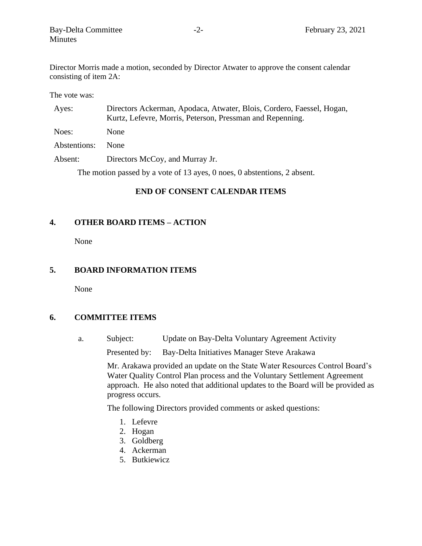Director Morris made a motion, seconded by Director Atwater to approve the consent calendar consisting of item 2A:

The vote was:

| Ayes:        | Directors Ackerman, Apodaca, Atwater, Blois, Cordero, Faessel, Hogan,<br>Kurtz, Lefevre, Morris, Peterson, Pressman and Repenning. |
|--------------|------------------------------------------------------------------------------------------------------------------------------------|
| Noes:        | <b>None</b>                                                                                                                        |
| Abstentions: | <b>None</b>                                                                                                                        |
| Absent:      | Directors McCoy, and Murray Jr.                                                                                                    |

The motion passed by a vote of 13 ayes, 0 noes, 0 abstentions, 2 absent.

#### **END OF CONSENT CALENDAR ITEMS**

### **4. OTHER BOARD ITEMS – ACTION**

None

# **5. BOARD INFORMATION ITEMS**

None

#### **6. COMMITTEE ITEMS**

a. Subject: Update on Bay-Delta Voluntary Agreement Activity

Presented by: Bay-Delta Initiatives Manager Steve Arakawa

Mr. Arakawa provided an update on the State Water Resources Control Board's Water Quality Control Plan process and the Voluntary Settlement Agreement approach. He also noted that additional updates to the Board will be provided as progress occurs.

The following Directors provided comments or asked questions:

- 1. Lefevre
- 2. Hogan
- 3. Goldberg
- 4. Ackerman
- 5. Butkiewicz